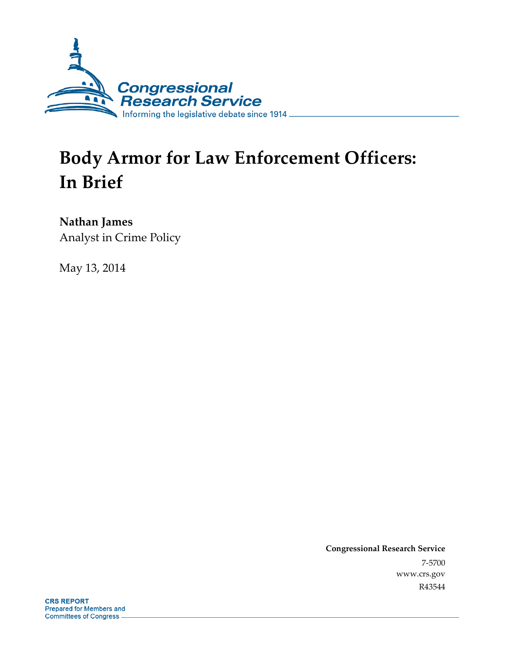

# **Body Armor for Law Enforcement Officers: In Brief**

**Nathan James** 

Analyst in Crime Policy

May 13, 2014

**Congressional Research Service**  7-5700 www.crs.gov R43544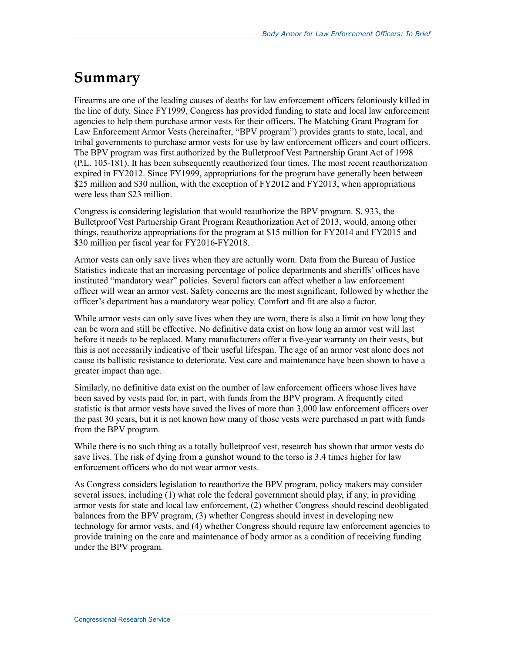## **Summary**

Firearms are one of the leading causes of deaths for law enforcement officers feloniously killed in the line of duty. Since FY1999, Congress has provided funding to state and local law enforcement agencies to help them purchase armor vests for their officers. The Matching Grant Program for Law Enforcement Armor Vests (hereinafter, "BPV program") provides grants to state, local, and tribal governments to purchase armor vests for use by law enforcement officers and court officers. The BPV program was first authorized by the Bulletproof Vest Partnership Grant Act of 1998 (P.L. 105-181). It has been subsequently reauthorized four times. The most recent reauthorization expired in FY2012. Since FY1999, appropriations for the program have generally been between \$25 million and \$30 million, with the exception of FY2012 and FY2013, when appropriations were less than \$23 million.

Congress is considering legislation that would reauthorize the BPV program. S. 933, the Bulletproof Vest Partnership Grant Program Reauthorization Act of 2013, would, among other things, reauthorize appropriations for the program at \$15 million for FY2014 and FY2015 and \$30 million per fiscal year for FY2016-FY2018.

Armor vests can only save lives when they are actually worn. Data from the Bureau of Justice Statistics indicate that an increasing percentage of police departments and sheriffs' offices have instituted "mandatory wear" policies. Several factors can affect whether a law enforcement officer will wear an armor vest. Safety concerns are the most significant, followed by whether the officer's department has a mandatory wear policy. Comfort and fit are also a factor.

While armor vests can only save lives when they are worn, there is also a limit on how long they can be worn and still be effective. No definitive data exist on how long an armor vest will last before it needs to be replaced. Many manufacturers offer a five-year warranty on their vests, but this is not necessarily indicative of their useful lifespan. The age of an armor vest alone does not cause its ballistic resistance to deteriorate. Vest care and maintenance have been shown to have a greater impact than age.

Similarly, no definitive data exist on the number of law enforcement officers whose lives have been saved by vests paid for, in part, with funds from the BPV program. A frequently cited statistic is that armor vests have saved the lives of more than 3,000 law enforcement officers over the past 30 years, but it is not known how many of those vests were purchased in part with funds from the BPV program.

While there is no such thing as a totally bulletproof vest, research has shown that armor vests do save lives. The risk of dying from a gunshot wound to the torso is 3.4 times higher for law enforcement officers who do not wear armor vests.

As Congress considers legislation to reauthorize the BPV program, policy makers may consider several issues, including (1) what role the federal government should play, if any, in providing armor vests for state and local law enforcement, (2) whether Congress should rescind deobligated balances from the BPV program, (3) whether Congress should invest in developing new technology for armor vests, and (4) whether Congress should require law enforcement agencies to provide training on the care and maintenance of body armor as a condition of receiving funding under the BPV program.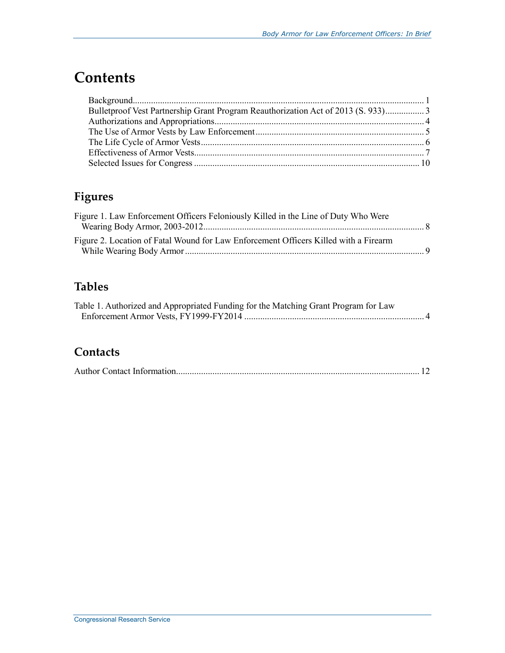## **Contents**

| Bulletproof Vest Partnership Grant Program Reauthorization Act of 2013 (S. 933) 3 |  |
|-----------------------------------------------------------------------------------|--|
|                                                                                   |  |
|                                                                                   |  |
|                                                                                   |  |
|                                                                                   |  |
|                                                                                   |  |

### **Figures**

| Figure 1. Law Enforcement Officers Feloniously Killed in the Line of Duty Who Were   |  |
|--------------------------------------------------------------------------------------|--|
|                                                                                      |  |
| Figure 2. Location of Fatal Wound for Law Enforcement Officers Killed with a Firearm |  |
|                                                                                      |  |

#### **Tables**

| Table 1. Authorized and Appropriated Funding for the Matching Grant Program for Law |  |
|-------------------------------------------------------------------------------------|--|
|                                                                                     |  |

#### **Contacts**

|--|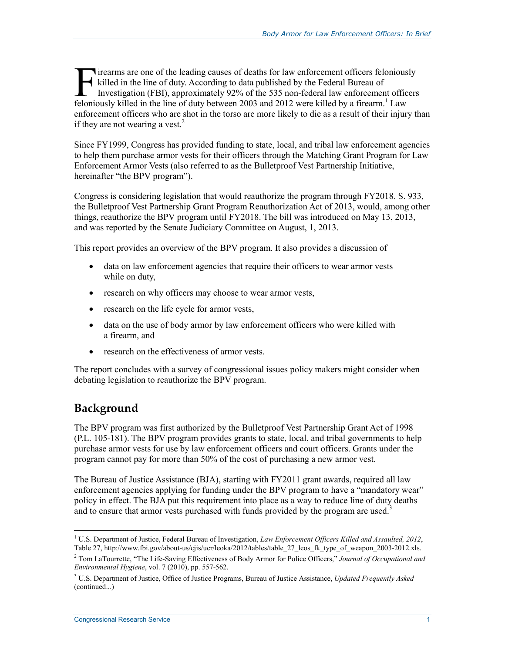irearms are one of the leading causes of deaths for law enforcement officers feloniously killed in the line of duty. According to data published by the Federal Bureau of Investigation (FBI), approximately 92% of the 535 non-federal law enforcement officers Felonious are one of the leading causes of deaths for law enforcement officers felonious killed in the line of duty. According to data published by the Federal Bureau of Investigation (FBI), approximately 92% of the 535 no enforcement officers who are shot in the torso are more likely to die as a result of their injury than if they are not wearing a vest.<sup>2</sup>

Since FY1999, Congress has provided funding to state, local, and tribal law enforcement agencies to help them purchase armor vests for their officers through the Matching Grant Program for Law Enforcement Armor Vests (also referred to as the Bulletproof Vest Partnership Initiative, hereinafter "the BPV program").

Congress is considering legislation that would reauthorize the program through FY2018. S. 933, the Bulletproof Vest Partnership Grant Program Reauthorization Act of 2013, would, among other things, reauthorize the BPV program until FY2018. The bill was introduced on May 13, 2013, and was reported by the Senate Judiciary Committee on August, 1, 2013.

This report provides an overview of the BPV program. It also provides a discussion of

- data on law enforcement agencies that require their officers to wear armor vests while on duty,
- research on why officers may choose to wear armor vests,
- research on the life cycle for armor vests,
- data on the use of body armor by law enforcement officers who were killed with a firearm, and
- research on the effectiveness of armor vests.

The report concludes with a survey of congressional issues policy makers might consider when debating legislation to reauthorize the BPV program.

#### **Background**

The BPV program was first authorized by the Bulletproof Vest Partnership Grant Act of 1998 (P.L. 105-181). The BPV program provides grants to state, local, and tribal governments to help purchase armor vests for use by law enforcement officers and court officers. Grants under the program cannot pay for more than 50% of the cost of purchasing a new armor vest.

The Bureau of Justice Assistance (BJA), starting with FY2011 grant awards, required all law enforcement agencies applying for funding under the BPV program to have a "mandatory wear" policy in effect. The BJA put this requirement into place as a way to reduce line of duty deaths and to ensure that armor vests purchased with funds provided by the program are used.<sup>3</sup>

<sup>1</sup> <sup>1</sup> U.S. Department of Justice, Federal Bureau of Investigation, *Law Enforcement Officers Killed and Assaulted, 2012*, Table 27, http://www.fbi.gov/about-us/cjis/ucr/leoka/2012/tables/table\_27\_leos\_fk\_type\_of\_weapon\_2003-2012.xls.

<sup>2</sup> Tom LaTourrette, "The Life-Saving Effectiveness of Body Armor for Police Officers," *Journal of Occupational and Environmental Hygiene*, vol. 7 (2010), pp. 557-562.

<sup>3</sup> U.S. Department of Justice, Office of Justice Programs, Bureau of Justice Assistance, *Updated Frequently Asked*  (continued...)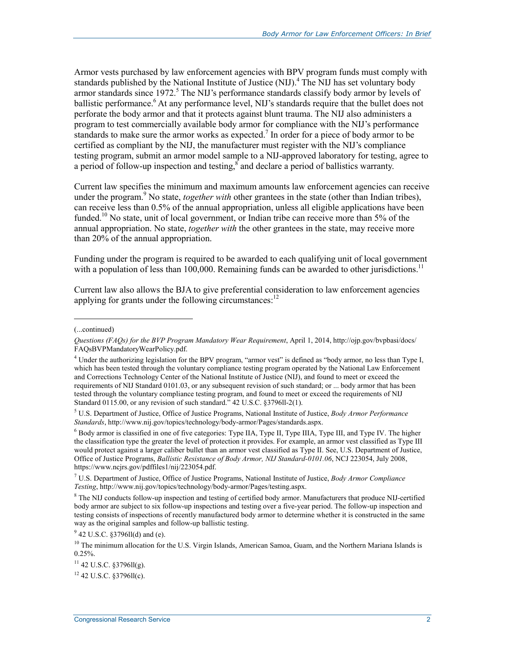Armor vests purchased by law enforcement agencies with BPV program funds must comply with standards published by the National Institute of Justice (NIJ).<sup>4</sup> The NIJ has set voluntary body armor standards since 1972.<sup>5</sup> The NIJ's performance standards classify body armor by levels of ballistic performance.<sup>6</sup> At any performance level, NIJ's standards require that the bullet does not perforate the body armor and that it protects against blunt trauma. The NIJ also administers a program to test commercially available body armor for compliance with the NIJ's performance standards to make sure the armor works as expected.<sup>7</sup> In order for a piece of body armor to be certified as compliant by the NIJ, the manufacturer must register with the NIJ's compliance testing program, submit an armor model sample to a NIJ-approved laboratory for testing, agree to a period of follow-up inspection and testing,  $\delta$  and declare a period of ballistics warranty.

Current law specifies the minimum and maximum amounts law enforcement agencies can receive under the program.<sup>9</sup> No state, *together with* other grantees in the state (other than Indian tribes), can receive less than 0.5% of the annual appropriation, unless all eligible applications have been funded.<sup>10</sup> No state, unit of local government, or Indian tribe can receive more than 5% of the annual appropriation. No state, *together with* the other grantees in the state, may receive more than 20% of the annual appropriation.

Funding under the program is required to be awarded to each qualifying unit of local government with a population of less than 100,000. Remaining funds can be awarded to other jurisdictions.<sup>11</sup>

Current law also allows the BJA to give preferential consideration to law enforcement agencies applying for grants under the following circumstances: $^{12}$ 

1

 $11$  42 U.S.C. §3796ll(g).

<sup>(...</sup>continued)

*Questions (FAQs) for the BVP Program Mandatory Wear Requirement*, April 1, 2014, http://ojp.gov/bvpbasi/docs/ FAQsBVPMandatoryWearPolicy.pdf.

<sup>4</sup> Under the authorizing legislation for the BPV program, "armor vest" is defined as "body armor, no less than Type I, which has been tested through the voluntary compliance testing program operated by the National Law Enforcement and Corrections Technology Center of the National Institute of Justice (NIJ), and found to meet or exceed the requirements of NIJ Standard 0101.03, or any subsequent revision of such standard; or ... body armor that has been tested through the voluntary compliance testing program, and found to meet or exceed the requirements of NIJ Standard 0115.00, or any revision of such standard." 42 U.S.C. §3796ll-2(1).

<sup>5</sup> U.S. Department of Justice, Office of Justice Programs, National Institute of Justice, *Body Armor Performance Standards*, http://www.nij.gov/topics/technology/body-armor/Pages/standards.aspx.

<sup>&</sup>lt;sup>6</sup> Body armor is classified in one of five categories: Type IIA, Type II, Type IIIA, Type III, and Type IV. The higher the classification type the greater the level of protection it provides. For example, an armor vest classified as Type III would protect against a larger caliber bullet than an armor vest classified as Type II. See, U.S. Department of Justice, Office of Justice Programs, *Ballistic Resistance of Body Armor, NIJ Standard-0101.06*, NCJ 223054, July 2008, https://www.ncjrs.gov/pdffiles1/nij/223054.pdf.

<sup>7</sup> U.S. Department of Justice, Office of Justice Programs, National Institute of Justice, *Body Armor Compliance Testing*, http://www.nij.gov/topics/technology/body-armor/Pages/testing.aspx.

<sup>&</sup>lt;sup>8</sup> The NIJ conducts follow-up inspection and testing of certified body armor. Manufacturers that produce NIJ-certified body armor are subject to six follow-up inspections and testing over a five-year period. The follow-up inspection and testing consists of inspections of recently manufactured body armor to determine whether it is constructed in the same way as the original samples and follow-up ballistic testing.

<sup>&</sup>lt;sup>9</sup> 42 U.S.C. §3796ll(d) and (e).

<sup>&</sup>lt;sup>10</sup> The minimum allocation for the U.S. Virgin Islands, American Samoa, Guam, and the Northern Mariana Islands is 0.25%.

 $12$  42 U.S.C. §3796ll(c).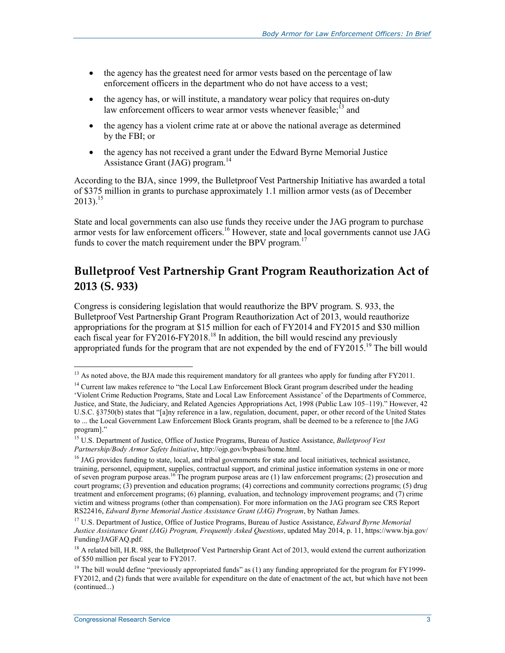- the agency has the greatest need for armor vests based on the percentage of law enforcement officers in the department who do not have access to a vest;
- the agency has, or will institute, a mandatory wear policy that requires on-duty law enforcement officers to wear armor vests whenever feasible:<sup>13</sup> and
- the agency has a violent crime rate at or above the national average as determined by the FBI; or
- the agency has not received a grant under the Edward Byrne Memorial Justice Assistance Grant  $(JAG)$  program.<sup>14</sup>

According to the BJA, since 1999, the Bulletproof Vest Partnership Initiative has awarded a total of \$375 million in grants to purchase approximately 1.1 million armor vests (as of December  $2013$ ).<sup>15</sup>

State and local governments can also use funds they receive under the JAG program to purchase armor vests for law enforcement officers.<sup>16</sup> However, state and local governments cannot use JAG funds to cover the match requirement under the BPV program.<sup>17</sup>

#### **Bulletproof Vest Partnership Grant Program Reauthorization Act of 2013 (S. 933)**

Congress is considering legislation that would reauthorize the BPV program. S. 933, the Bulletproof Vest Partnership Grant Program Reauthorization Act of 2013, would reauthorize appropriations for the program at \$15 million for each of FY2014 and FY2015 and \$30 million each fiscal year for  $\frac{1}{2016}$ -FY2018.<sup>18</sup> In addition, the bill would rescind any previously appropriated funds for the program that are not expended by the end of  $FY2015$ .<sup>19</sup> The bill would

1

<sup>&</sup>lt;sup>13</sup> As noted above, the BJA made this requirement mandatory for all grantees who apply for funding after FY2011.

<sup>&</sup>lt;sup>14</sup> Current law makes reference to "the Local Law Enforcement Block Grant program described under the heading 'Violent Crime Reduction Programs, State and Local Law Enforcement Assistance' of the Departments of Commerce, Justice, and State, the Judiciary, and Related Agencies Appropriations Act, 1998 (Public Law 105–119)." However, 42 U.S.C. §3750(b) states that "[a]ny reference in a law, regulation, document, paper, or other record of the United States to ... the Local Government Law Enforcement Block Grants program, shall be deemed to be a reference to [the JAG program]."

<sup>15</sup> U.S. Department of Justice, Office of Justice Programs, Bureau of Justice Assistance, *Bulletproof Vest Partnership/Body Armor Safety Initiative*, http://ojp.gov/bvpbasi/home.html.

 $<sup>16</sup>$  JAG provides funding to state, local, and tribal governments for state and local initiatives, technical assistance,</sup> training, personnel, equipment, supplies, contractual support, and criminal justice information systems in one or more of seven program purpose areas.<sup>16</sup> The program purpose areas are  $(1)$  law enforcement programs;  $(2)$  prosecution and court programs; (3) prevention and education programs; (4) corrections and community corrections programs; (5) drug treatment and enforcement programs; (6) planning, evaluation, and technology improvement programs; and (7) crime victim and witness programs (other than compensation). For more information on the JAG program see CRS Report RS22416, *Edward Byrne Memorial Justice Assistance Grant (JAG) Program*, by Nathan James.

<sup>17</sup> U.S. Department of Justice, Office of Justice Programs, Bureau of Justice Assistance, *Edward Byrne Memorial Justice Assistance Grant (JAG) Program, Frequently Asked Questions*, updated May 2014, p. 11, https://www.bja.gov/ Funding/JAGFAQ.pdf.

<sup>&</sup>lt;sup>18</sup> A related bill, H.R. 988, the Bulletproof Vest Partnership Grant Act of 2013, would extend the current authorization of \$50 million per fiscal year to FY2017.

<sup>&</sup>lt;sup>19</sup> The bill would define "previously appropriated funds" as (1) any funding appropriated for the program for FY1999-FY2012, and (2) funds that were available for expenditure on the date of enactment of the act, but which have not been (continued...)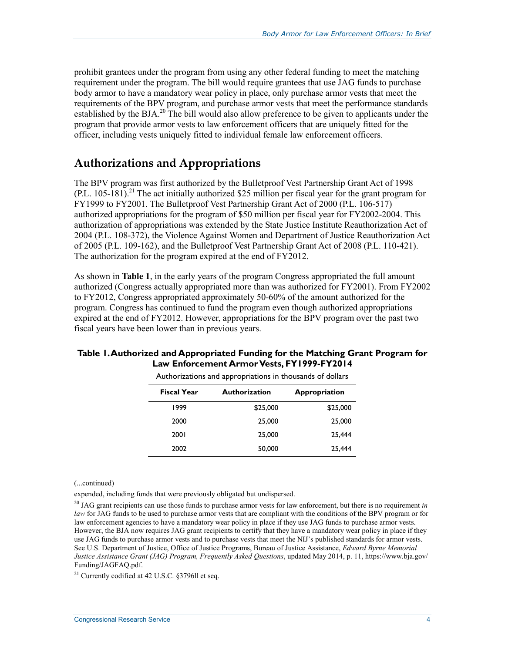prohibit grantees under the program from using any other federal funding to meet the matching requirement under the program. The bill would require grantees that use JAG funds to purchase body armor to have a mandatory wear policy in place, only purchase armor vests that meet the requirements of the BPV program, and purchase armor vests that meet the performance standards established by the BJA.<sup>20</sup> The bill would also allow preference to be given to applicants under the program that provide armor vests to law enforcement officers that are uniquely fitted for the officer, including vests uniquely fitted to individual female law enforcement officers.

#### **Authorizations and Appropriations**

The BPV program was first authorized by the Bulletproof Vest Partnership Grant Act of 1998  $(PL. 105-181).$ <sup>21</sup> The act initially authorized \$25 million per fiscal year for the grant program for FY1999 to FY2001. The Bulletproof Vest Partnership Grant Act of 2000 (P.L. 106-517) authorized appropriations for the program of \$50 million per fiscal year for FY2002-2004. This authorization of appropriations was extended by the State Justice Institute Reauthorization Act of 2004 (P.L. 108-372), the Violence Against Women and Department of Justice Reauthorization Act of 2005 (P.L. 109-162), and the Bulletproof Vest Partnership Grant Act of 2008 (P.L. 110-421). The authorization for the program expired at the end of FY2012.

As shown in **Table 1**, in the early years of the program Congress appropriated the full amount authorized (Congress actually appropriated more than was authorized for FY2001). From FY2002 to FY2012, Congress appropriated approximately 50-60% of the amount authorized for the program. Congress has continued to fund the program even though authorized appropriations expired at the end of FY2012. However, appropriations for the BPV program over the past two fiscal years have been lower than in previous years.

#### **Table 1. Authorized and Appropriated Funding for the Matching Grant Program for Law Enforcement Armor Vests, FY1999-FY2014**

|                    | .                    |                      |
|--------------------|----------------------|----------------------|
| <b>Fiscal Year</b> | <b>Authorization</b> | <b>Appropriation</b> |
| 1999               | \$25,000             | \$25,000             |
| 2000               | 25,000               | 25,000               |
| 2001               | 25,000               | 25.444               |
| 2002               | 50,000               | 25.444               |

Authorizations and appropriations in thousands of dollars

(...continued)

 $\overline{a}$ 

expended, including funds that were previously obligated but undispersed.

<sup>20</sup> JAG grant recipients can use those funds to purchase armor vests for law enforcement, but there is no requirement *in law* for JAG funds to be used to purchase armor vests that are compliant with the conditions of the BPV program or for law enforcement agencies to have a mandatory wear policy in place if they use JAG funds to purchase armor vests. However, the BJA now requires JAG grant recipients to certify that they have a mandatory wear policy in place if they use JAG funds to purchase armor vests and to purchase vests that meet the NIJ's published standards for armor vests. See U.S. Department of Justice, Office of Justice Programs, Bureau of Justice Assistance, *Edward Byrne Memorial Justice Assistance Grant (JAG) Program, Frequently Asked Questions*, updated May 2014, p. 11, https://www.bja.gov/ Funding/JAGFAQ.pdf.

<sup>&</sup>lt;sup>21</sup> Currently codified at 42 U.S.C. §3796ll et seq.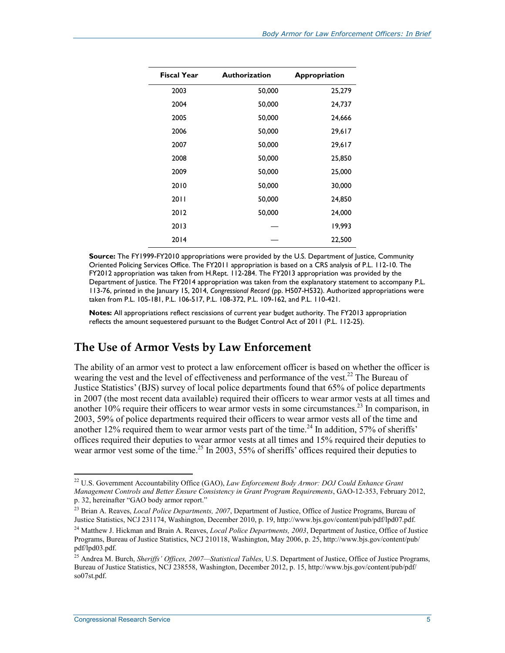| <b>Fiscal Year</b> | <b>Authorization</b> | Appropriation |
|--------------------|----------------------|---------------|
| 2003               | 50,000               | 25,279        |
| 2004               | 50,000               | 24,737        |
| 2005               | 50,000               | 24,666        |
| 2006               | 50,000               | 29,617        |
| 2007               | 50,000               | 29,617        |
| 2008               | 50,000               | 25,850        |
| 2009               | 50,000               | 25,000        |
| 2010               | 50,000               | 30,000        |
| 2011               | 50,000               | 24,850        |
| 2012               | 50,000               | 24,000        |
| 2013               |                      | 19,993        |
| 2014               |                      | 22,500        |

**Source:** The FY1999-FY2010 appropriations were provided by the U.S. Department of Justice, Community Oriented Policing Services Office. The FY2011 appropriation is based on a CRS analysis of P.L. 112-10. The FY2012 appropriation was taken from H.Rept. 112-284. The FY2013 appropriation was provided by the Department of Justice. The FY2014 appropriation was taken from the explanatory statement to accompany P.L. 113-76, printed in the January 15, 2014, *Congressional Record* (pp. H507-H532). Authorized appropriations were taken from P.L. 105-181, P.L. 106-517, P.L. 108-372, P.L. 109-162, and P.L. 110-421.

**Notes:** All appropriations reflect rescissions of current year budget authority. The FY2013 appropriation reflects the amount sequestered pursuant to the Budget Control Act of 2011 (P.L. 112-25).

#### **The Use of Armor Vests by Law Enforcement**

The ability of an armor vest to protect a law enforcement officer is based on whether the officer is wearing the vest and the level of effectiveness and performance of the vest.<sup>22</sup> The Bureau of Justice Statistics' (BJS) survey of local police departments found that 65% of police departments in 2007 (the most recent data available) required their officers to wear armor vests at all times and another  $10\%$  require their officers to wear armor vests in some circumstances.<sup>23</sup> In comparison, in 2003, 59% of police departments required their officers to wear armor vests all of the time and another 12% required them to wear armor vests part of the time.<sup>24</sup> In addition, 57% of sheriffs' offices required their deputies to wear armor vests at all times and 15% required their deputies to wear armor vest some of the time.<sup>25</sup> In 2003, 55% of sheriffs' offices required their deputies to

<sup>&</sup>lt;u>.</u> 22 U.S. Government Accountability Office (GAO), *Law Enforcement Body Armor: DOJ Could Enhance Grant Management Controls and Better Ensure Consistency in Grant Program Requirements*, GAO-12-353, February 2012, p. 32, hereinafter "GAO body armor report."

<sup>23</sup> Brian A. Reaves, *Local Police Departments, 2007*, Department of Justice, Office of Justice Programs, Bureau of Justice Statistics, NCJ 231174, Washington, December 2010, p. 19, http://www.bjs.gov/content/pub/pdf/lpd07.pdf.

<sup>24</sup> Matthew J. Hickman and Brain A. Reaves, *Local Police Departments, 2003*, Department of Justice, Office of Justice Programs, Bureau of Justice Statistics, NCJ 210118, Washington, May 2006, p. 25, http://www.bjs.gov/content/pub/ pdf/lpd03.pdf.

<sup>25</sup> Andrea M. Burch, *Sheriffs' Offices, 2007—Statistical Tables*, U.S. Department of Justice, Office of Justice Programs, Bureau of Justice Statistics, NCJ 238558, Washington, December 2012, p. 15, http://www.bjs.gov/content/pub/pdf/ so07st.pdf.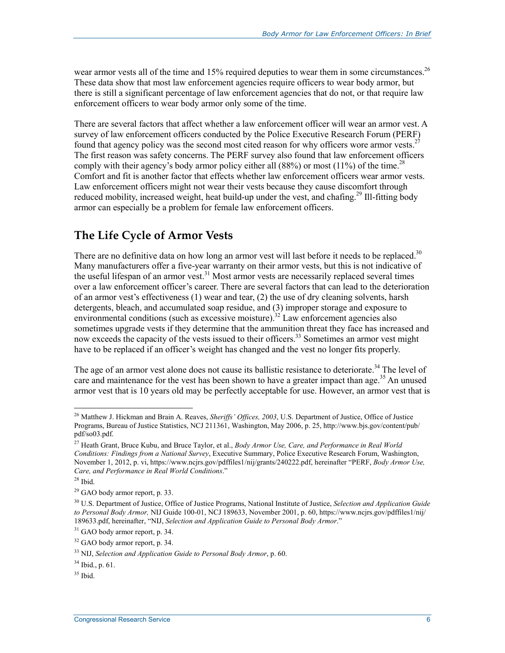wear armor vests all of the time and 15% required deputies to wear them in some circumstances.<sup>26</sup> These data show that most law enforcement agencies require officers to wear body armor, but there is still a significant percentage of law enforcement agencies that do not, or that require law enforcement officers to wear body armor only some of the time.

There are several factors that affect whether a law enforcement officer will wear an armor vest. A survey of law enforcement officers conducted by the Police Executive Research Forum (PERF) found that agency policy was the second most cited reason for why officers wore armor vests.<sup>27</sup> The first reason was safety concerns. The PERF survey also found that law enforcement officers comply with their agency's body armor policy either all  $(88%)$  or most  $(11%)$  of the time.<sup>28</sup> Comfort and fit is another factor that effects whether law enforcement officers wear armor vests. Law enforcement officers might not wear their vests because they cause discomfort through reduced mobility, increased weight, heat build-up under the vest, and chafing.<sup>29</sup> Ill-fitting body armor can especially be a problem for female law enforcement officers.

#### **The Life Cycle of Armor Vests**

There are no definitive data on how long an armor vest will last before it needs to be replaced.<sup>30</sup> Many manufacturers offer a five-year warranty on their armor vests, but this is not indicative of the useful lifespan of an armor vest.<sup>31</sup> Most armor vests are necessarily replaced several times over a law enforcement officer's career. There are several factors that can lead to the deterioration of an armor vest's effectiveness (1) wear and tear, (2) the use of dry cleaning solvents, harsh detergents, bleach, and accumulated soap residue, and (3) improper storage and exposure to environmental conditions (such as excessive moisture).<sup>32</sup> Law enforcement agencies also sometimes upgrade vests if they determine that the ammunition threat they face has increased and now exceeds the capacity of the vests issued to their officers.<sup>33</sup> Sometimes an armor vest might have to be replaced if an officer's weight has changed and the vest no longer fits properly.

The age of an armor vest alone does not cause its ballistic resistance to deteriorate.<sup>34</sup> The level of care and maintenance for the vest has been shown to have a greater impact than age.<sup>35</sup> An unused armor vest that is 10 years old may be perfectly acceptable for use. However, an armor vest that is

1

<sup>26</sup> Matthew J. Hickman and Brain A. Reaves, *Sheriffs' Offices, 2003*, U.S. Department of Justice, Office of Justice Programs, Bureau of Justice Statistics, NCJ 211361, Washington, May 2006, p. 25, http://www.bjs.gov/content/pub/ pdf/so03.pdf.

<sup>27</sup> Heath Grant, Bruce Kubu, and Bruce Taylor, et al., *Body Armor Use, Care, and Performance in Real World Conditions: Findings from a National Survey*, Executive Summary, Police Executive Research Forum, Washington, November 1, 2012, p. vi, https://www.ncjrs.gov/pdffiles1/nij/grants/240222.pdf, hereinafter "PERF, *Body Armor Use, Care, and Performance in Real World Conditions*."

<sup>28</sup> Ibid.

 $^{29}$  GAO body armor report, p. 33.

<sup>30</sup> U.S. Department of Justice, Office of Justice Programs, National Institute of Justice, *Selection and Application Guide to Personal Body Armor,* NIJ Guide 100-01, NCJ 189633, November 2001, p. 60, https://www.ncjrs.gov/pdffiles1/nij/ 189633.pdf, hereinafter, "NIJ, *Selection and Application Guide to Personal Body Armor*."

<sup>&</sup>lt;sup>31</sup> GAO body armor report, p. 34.

 $32$  GAO body armor report, p. 34.

<sup>33</sup> NIJ, *Selection and Application Guide to Personal Body Armor*, p. 60.

 $34$  Ibid., p. 61.

 $35$  Ibid.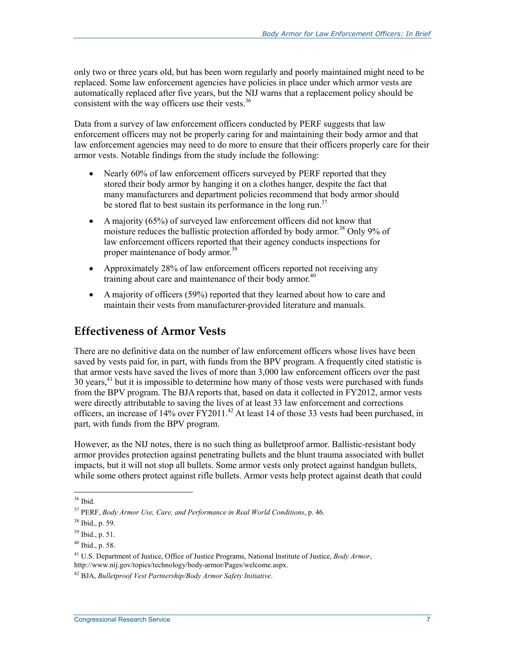only two or three years old, but has been worn regularly and poorly maintained might need to be replaced. Some law enforcement agencies have policies in place under which armor vests are automatically replaced after five years, but the NIJ warns that a replacement policy should be consistent with the way officers use their vests. $36$ 

Data from a survey of law enforcement officers conducted by PERF suggests that law enforcement officers may not be properly caring for and maintaining their body armor and that law enforcement agencies may need to do more to ensure that their officers properly care for their armor vests. Notable findings from the study include the following:

- Nearly 60% of law enforcement officers surveyed by PERF reported that they stored their body armor by hanging it on a clothes hanger, despite the fact that many manufacturers and department policies recommend that body armor should be stored flat to best sustain its performance in the long run.<sup>37</sup>
- A majority (65%) of surveyed law enforcement officers did not know that moisture reduces the ballistic protection afforded by body armor.<sup>38</sup> Only 9% of law enforcement officers reported that their agency conducts inspections for proper maintenance of body armor.<sup>39</sup>
- Approximately 28% of law enforcement officers reported not receiving any training about care and maintenance of their body armor.<sup>40</sup>
- A majority of officers (59%) reported that they learned about how to care and maintain their vests from manufacturer-provided literature and manuals.

#### **Effectiveness of Armor Vests**

There are no definitive data on the number of law enforcement officers whose lives have been saved by vests paid for, in part, with funds from the BPV program. A frequently cited statistic is that armor vests have saved the lives of more than 3,000 law enforcement officers over the past  $30$  years,<sup>41</sup> but it is impossible to determine how many of those vests were purchased with funds from the BPV program. The BJA reports that, based on data it collected in FY2012, armor vests were directly attributable to saving the lives of at least 33 law enforcement and corrections officers, an increase of 14% over FY2011.<sup>42</sup> At least 14 of those 33 vests had been purchased, in part, with funds from the BPV program.

However, as the NIJ notes, there is no such thing as bulletproof armor. Ballistic-resistant body armor provides protection against penetrating bullets and the blunt trauma associated with bullet impacts, but it will not stop all bullets. Some armor vests only protect against handgun bullets, while some others protect against rifle bullets. Armor vests help protect against death that could

<sup>1</sup> 36 Ibid.

<sup>37</sup> PERF, *Body Armor Use, Care, and Performance in Real World Conditions*, p. 46.

<sup>38</sup> Ibid., p. 59.

<sup>39</sup> Ibid., p. 51.

 $40$  Ibid., p. 58.

<sup>41</sup> U.S. Department of Justice, Office of Justice Programs, National Institute of Justice, *Body Armor*, http://www.nij.gov/topics/technology/body-armor/Pages/welcome.aspx.

<sup>42</sup> BJA, *Bulletproof Vest Partnership/Body Armor Safety Initiative*.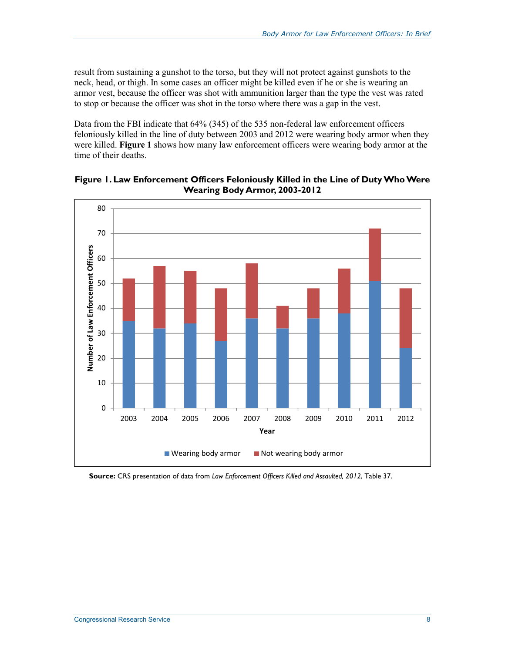result from sustaining a gunshot to the torso, but they will not protect against gunshots to the neck, head, or thigh. In some cases an officer might be killed even if he or she is wearing an armor vest, because the officer was shot with ammunition larger than the type the vest was rated to stop or because the officer was shot in the torso where there was a gap in the vest.

Data from the FBI indicate that 64% (345) of the 535 non-federal law enforcement officers feloniously killed in the line of duty between 2003 and 2012 were wearing body armor when they were killed. **Figure 1** shows how many law enforcement officers were wearing body armor at the time of their deaths.



**Figure 1. Law Enforcement Officers Feloniously Killed in the Line of Duty Who Were Wearing Body Armor, 2003-2012** 

**Source:** CRS presentation of data from *Law Enforcement Officers Killed and Assaulted, 2012*, Table 37.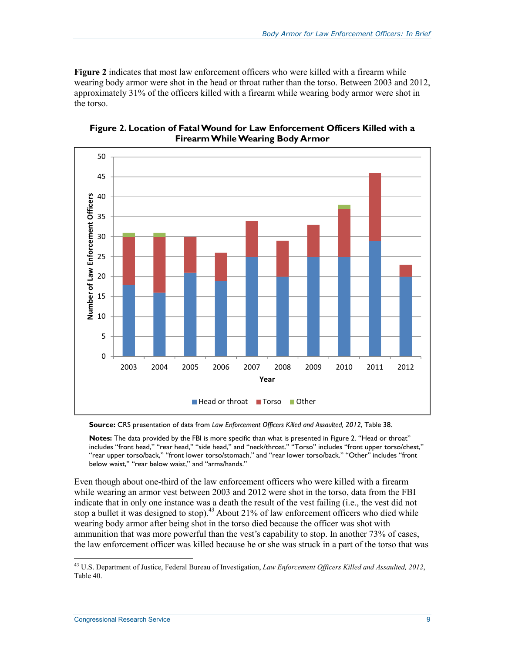**Figure 2** indicates that most law enforcement officers who were killed with a firearm while wearing body armor were shot in the head or throat rather than the torso. Between 2003 and 2012, approximately 31% of the officers killed with a firearm while wearing body armor were shot in the torso.



**Figure 2. Location of Fatal Wound for Law Enforcement Officers Killed with a Firearm While Wearing Body Armor** 

**Source:** CRS presentation of data from *Law Enforcement Officers Killed and Assaulted, 2012*, Table 38.

**Notes:** The data provided by the FBI is more specific than what is presented in Figure 2. "Head or throat" includes "front head," "rear head," "side head," and "neck/throat." "Torso" includes "front upper torso/chest," "rear upper torso/back," "front lower torso/stomach," and "rear lower torso/back." "Other" includes "front below waist," "rear below waist," and "arms/hands."

Even though about one-third of the law enforcement officers who were killed with a firearm while wearing an armor vest between 2003 and 2012 were shot in the torso, data from the FBI indicate that in only one instance was a death the result of the vest failing (i.e., the vest did not stop a bullet it was designed to stop).<sup>43</sup> About 21% of law enforcement officers who died while wearing body armor after being shot in the torso died because the officer was shot with ammunition that was more powerful than the vest's capability to stop. In another 73% of cases, the law enforcement officer was killed because he or she was struck in a part of the torso that was

<sup>1</sup> 43 U.S. Department of Justice, Federal Bureau of Investigation, *Law Enforcement Officers Killed and Assaulted, 2012*, Table 40.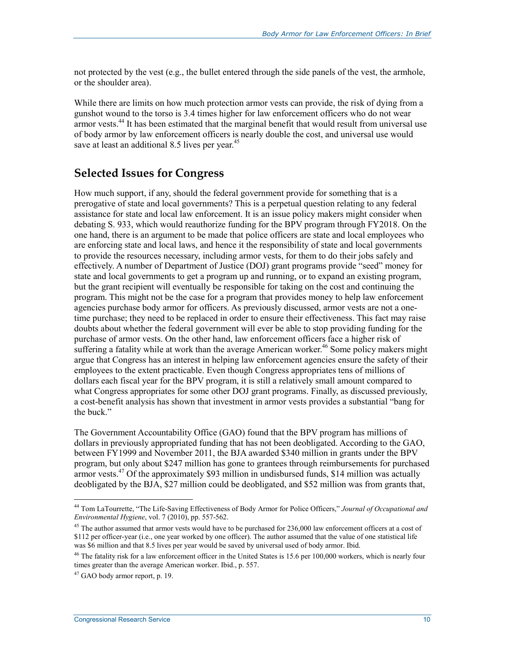not protected by the vest (e.g., the bullet entered through the side panels of the vest, the armhole, or the shoulder area).

While there are limits on how much protection armor vests can provide, the risk of dying from a gunshot wound to the torso is 3.4 times higher for law enforcement officers who do not wear armor vests.<sup>44</sup> It has been estimated that the marginal benefit that would result from universal use of body armor by law enforcement officers is nearly double the cost, and universal use would save at least an additional 8.5 lives per year.<sup>45</sup>

#### **Selected Issues for Congress**

How much support, if any, should the federal government provide for something that is a prerogative of state and local governments? This is a perpetual question relating to any federal assistance for state and local law enforcement. It is an issue policy makers might consider when debating S. 933, which would reauthorize funding for the BPV program through FY2018. On the one hand, there is an argument to be made that police officers are state and local employees who are enforcing state and local laws, and hence it the responsibility of state and local governments to provide the resources necessary, including armor vests, for them to do their jobs safely and effectively. A number of Department of Justice (DOJ) grant programs provide "seed" money for state and local governments to get a program up and running, or to expand an existing program, but the grant recipient will eventually be responsible for taking on the cost and continuing the program. This might not be the case for a program that provides money to help law enforcement agencies purchase body armor for officers. As previously discussed, armor vests are not a onetime purchase; they need to be replaced in order to ensure their effectiveness. This fact may raise doubts about whether the federal government will ever be able to stop providing funding for the purchase of armor vests. On the other hand, law enforcement officers face a higher risk of suffering a fatality while at work than the average American worker.<sup>46</sup> Some policy makers might argue that Congress has an interest in helping law enforcement agencies ensure the safety of their employees to the extent practicable. Even though Congress appropriates tens of millions of dollars each fiscal year for the BPV program, it is still a relatively small amount compared to what Congress appropriates for some other DOJ grant programs. Finally, as discussed previously, a cost-benefit analysis has shown that investment in armor vests provides a substantial "bang for the buck"

The Government Accountability Office (GAO) found that the BPV program has millions of dollars in previously appropriated funding that has not been deobligated. According to the GAO, between FY1999 and November 2011, the BJA awarded \$340 million in grants under the BPV program, but only about \$247 million has gone to grantees through reimbursements for purchased armor vests. $47$  Of the approximately \$93 million in undisbursed funds, \$14 million was actually deobligated by the BJA, \$27 million could be deobligated, and \$52 million was from grants that,

1

<sup>44</sup> Tom LaTourrette, "The Life-Saving Effectiveness of Body Armor for Police Officers," *Journal of Occupational and Environmental Hygiene*, vol. 7 (2010), pp. 557-562.

<sup>&</sup>lt;sup>45</sup> The author assumed that armor vests would have to be purchased for 236,000 law enforcement officers at a cost of \$112 per officer-year (i.e., one year worked by one officer). The author assumed that the value of one statistical life was \$6 million and that 8.5 lives per year would be saved by universal used of body armor. Ibid.

<sup>&</sup>lt;sup>46</sup> The fatality risk for a law enforcement officer in the United States is 15.6 per 100,000 workers, which is nearly four times greater than the average American worker. Ibid., p. 557.

 $47$  GAO body armor report, p. 19.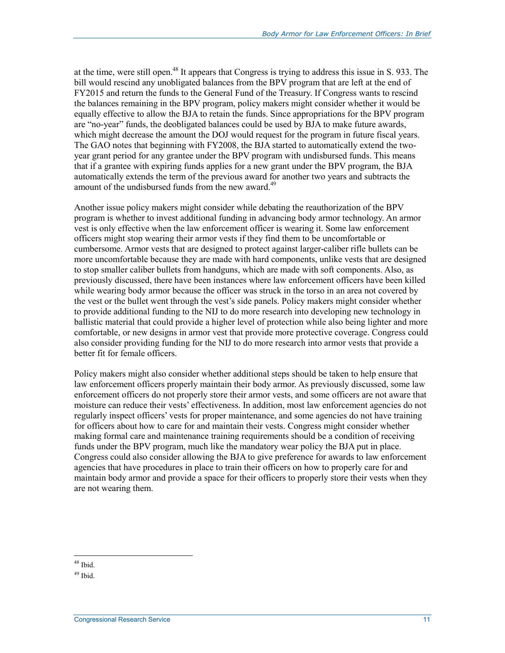at the time, were still open.48 It appears that Congress is trying to address this issue in S. 933. The bill would rescind any unobligated balances from the BPV program that are left at the end of FY2015 and return the funds to the General Fund of the Treasury. If Congress wants to rescind the balances remaining in the BPV program, policy makers might consider whether it would be equally effective to allow the BJA to retain the funds. Since appropriations for the BPV program are "no-year" funds, the deobligated balances could be used by BJA to make future awards, which might decrease the amount the DOJ would request for the program in future fiscal years. The GAO notes that beginning with FY2008, the BJA started to automatically extend the twoyear grant period for any grantee under the BPV program with undisbursed funds. This means that if a grantee with expiring funds applies for a new grant under the BPV program, the BJA automatically extends the term of the previous award for another two years and subtracts the amount of the undisbursed funds from the new award.<sup>49</sup>

Another issue policy makers might consider while debating the reauthorization of the BPV program is whether to invest additional funding in advancing body armor technology. An armor vest is only effective when the law enforcement officer is wearing it. Some law enforcement officers might stop wearing their armor vests if they find them to be uncomfortable or cumbersome. Armor vests that are designed to protect against larger-caliber rifle bullets can be more uncomfortable because they are made with hard components, unlike vests that are designed to stop smaller caliber bullets from handguns, which are made with soft components. Also, as previously discussed, there have been instances where law enforcement officers have been killed while wearing body armor because the officer was struck in the torso in an area not covered by the vest or the bullet went through the vest's side panels. Policy makers might consider whether to provide additional funding to the NIJ to do more research into developing new technology in ballistic material that could provide a higher level of protection while also being lighter and more comfortable, or new designs in armor vest that provide more protective coverage. Congress could also consider providing funding for the NIJ to do more research into armor vests that provide a better fit for female officers.

Policy makers might also consider whether additional steps should be taken to help ensure that law enforcement officers properly maintain their body armor. As previously discussed, some law enforcement officers do not properly store their armor vests, and some officers are not aware that moisture can reduce their vests' effectiveness. In addition, most law enforcement agencies do not regularly inspect officers' vests for proper maintenance, and some agencies do not have training for officers about how to care for and maintain their vests. Congress might consider whether making formal care and maintenance training requirements should be a condition of receiving funds under the BPV program, much like the mandatory wear policy the BJA put in place. Congress could also consider allowing the BJA to give preference for awards to law enforcement agencies that have procedures in place to train their officers on how to properly care for and maintain body armor and provide a space for their officers to properly store their vests when they are not wearing them.

1 48 Ibid.

 $49$  Ibid.